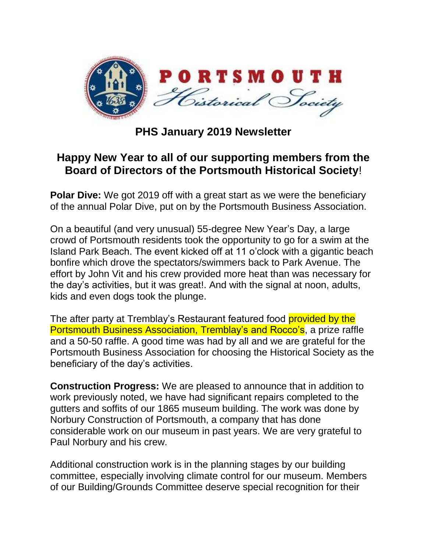

## **PHS January 2019 Newsletter**

## **Happy New Year to all of our supporting members from the Board of Directors of the Portsmouth Historical Society**!

**Polar Dive:** We got 2019 off with a great start as we were the beneficiary of the annual Polar Dive, put on by the Portsmouth Business Association.

On a beautiful (and very unusual) 55-degree New Year's Day, a large crowd of Portsmouth residents took the opportunity to go for a swim at the Island Park Beach. The event kicked off at 11 o'clock with a gigantic beach bonfire which drove the spectators/swimmers back to Park Avenue. The effort by John Vit and his crew provided more heat than was necessary for the day's activities, but it was great!. And with the signal at noon, adults, kids and even dogs took the plunge.

The after party at Tremblay's Restaurant featured food provided by the Portsmouth Business Association, Tremblay's and Rocco's, a prize raffle and a 50-50 raffle. A good time was had by all and we are grateful for the Portsmouth Business Association for choosing the Historical Society as the beneficiary of the day's activities.

**Construction Progress:** We are pleased to announce that in addition to work previously noted, we have had significant repairs completed to the gutters and soffits of our 1865 museum building. The work was done by Norbury Construction of Portsmouth, a company that has done considerable work on our museum in past years. We are very grateful to Paul Norbury and his crew.

Additional construction work is in the planning stages by our building committee, especially involving climate control for our museum. Members of our Building/Grounds Committee deserve special recognition for their